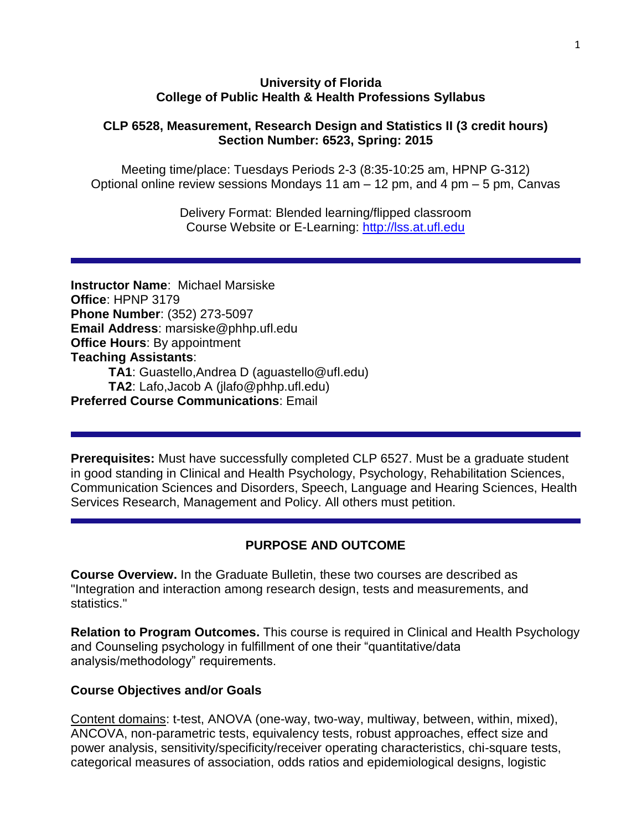#### **University of Florida College of Public Health & Health Professions Syllabus**

#### **CLP 6528, Measurement, Research Design and Statistics II (3 credit hours) Section Number: 6523, Spring: 2015**

Meeting time/place: Tuesdays Periods 2-3 (8:35-10:25 am, HPNP G-312) Optional online review sessions Mondays 11 am – 12 pm, and 4 pm – 5 pm, Canvas

> Delivery Format: Blended learning/flipped classroom Course Website or E-Learning: [http://lss.at.ufl.edu](http://lss.at.ufl.edu/)

**Instructor Name**: Michael Marsiske **Office**: HPNP 3179 **Phone Number**: (352) 273-5097 **Email Address**: marsiske@phhp.ufl.edu **Office Hours**: By appointment **Teaching Assistants**: **TA1**: Guastello,Andrea D (aguastello@ufl.edu) **TA2**: Lafo,Jacob A (jlafo@phhp.ufl.edu) **Preferred Course Communications**: Email

**Prerequisites:** Must have successfully completed CLP 6527. Must be a graduate student in good standing in Clinical and Health Psychology, Psychology, Rehabilitation Sciences, Communication Sciences and Disorders, Speech, Language and Hearing Sciences, Health Services Research, Management and Policy. All others must petition.

# **PURPOSE AND OUTCOME**

**Course Overview.** In the Graduate Bulletin, these two courses are described as "Integration and interaction among research design, tests and measurements, and statistics."

**Relation to Program Outcomes.** This course is required in Clinical and Health Psychology and Counseling psychology in fulfillment of one their "quantitative/data analysis/methodology" requirements.

#### **Course Objectives and/or Goals**

Content domains: t-test, ANOVA (one-way, two-way, multiway, between, within, mixed), ANCOVA, non-parametric tests, equivalency tests, robust approaches, effect size and power analysis, sensitivity/specificity/receiver operating characteristics, chi-square tests, categorical measures of association, odds ratios and epidemiological designs, logistic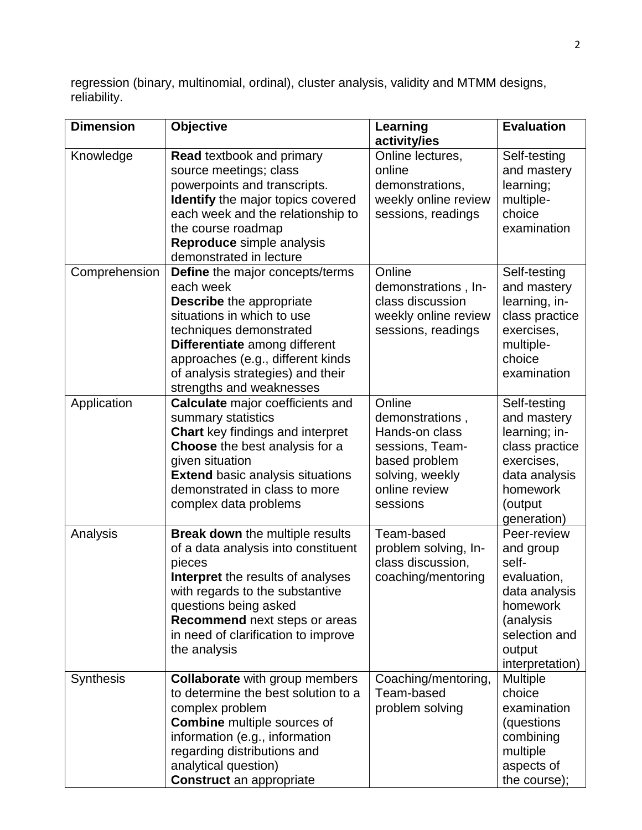regression (binary, multinomial, ordinal), cluster analysis, validity and MTMM designs, reliability.

| <b>Dimension</b> | <b>Objective</b>                                                            | Learning                                  | <b>Evaluation</b>  |
|------------------|-----------------------------------------------------------------------------|-------------------------------------------|--------------------|
|                  |                                                                             | activity/ies                              |                    |
| Knowledge        | <b>Read textbook and primary</b>                                            | Online lectures,                          | Self-testing       |
|                  | source meetings; class                                                      | online                                    | and mastery        |
|                  | powerpoints and transcripts.                                                | demonstrations,                           | learning;          |
|                  | <b>Identify</b> the major topics covered                                    | weekly online review                      | multiple-          |
|                  | each week and the relationship to                                           | sessions, readings                        | choice             |
|                  | the course roadmap                                                          |                                           | examination        |
|                  | Reproduce simple analysis                                                   |                                           |                    |
|                  | demonstrated in lecture                                                     |                                           |                    |
| Comprehension    | Define the major concepts/terms                                             | Online                                    | Self-testing       |
|                  | each week                                                                   | demonstrations, In-                       | and mastery        |
|                  | <b>Describe</b> the appropriate                                             | class discussion                          | learning, in-      |
|                  | situations in which to use                                                  | weekly online review                      | class practice     |
|                  | techniques demonstrated                                                     | sessions, readings                        | exercises,         |
|                  | Differentiate among different                                               |                                           | multiple-          |
|                  | approaches (e.g., different kinds                                           |                                           | choice             |
|                  | of analysis strategies) and their                                           |                                           | examination        |
|                  | strengths and weaknesses                                                    |                                           |                    |
| Application      | <b>Calculate</b> major coefficients and                                     | Online                                    | Self-testing       |
|                  | summary statistics                                                          | demonstrations,                           | and mastery        |
|                  | <b>Chart</b> key findings and interpret                                     | Hands-on class                            | learning; in-      |
|                  | <b>Choose</b> the best analysis for a                                       | sessions, Team-                           | class practice     |
|                  | given situation                                                             | based problem                             | exercises,         |
|                  | <b>Extend basic analysis situations</b>                                     | solving, weekly                           | data analysis      |
|                  | demonstrated in class to more                                               | online review                             | homework           |
|                  | complex data problems                                                       | sessions                                  | (output            |
|                  |                                                                             | Team-based                                | generation)        |
| Analysis         | <b>Break down</b> the multiple results                                      |                                           | Peer-review        |
|                  | of a data analysis into constituent<br>pieces                               | problem solving, In-<br>class discussion, | and group<br>self- |
|                  |                                                                             | coaching/mentoring                        | evaluation,        |
|                  | <b>Interpret</b> the results of analyses<br>with regards to the substantive |                                           | data analysis      |
|                  | questions being asked                                                       |                                           | homework           |
|                  | Recommend next steps or areas                                               |                                           | (analysis          |
|                  | in need of clarification to improve                                         |                                           | selection and      |
|                  | the analysis                                                                |                                           | output             |
|                  |                                                                             |                                           | interpretation)    |
| <b>Synthesis</b> | <b>Collaborate</b> with group members                                       | Coaching/mentoring,                       | <b>Multiple</b>    |
|                  | to determine the best solution to a                                         | Team-based                                | choice             |
|                  | complex problem                                                             | problem solving                           | examination        |
|                  | <b>Combine</b> multiple sources of                                          |                                           | (questions         |
|                  | information (e.g., information                                              |                                           | combining          |
|                  | regarding distributions and                                                 |                                           | multiple           |
|                  | analytical question)                                                        |                                           | aspects of         |
|                  | <b>Construct</b> an appropriate                                             |                                           | the course);       |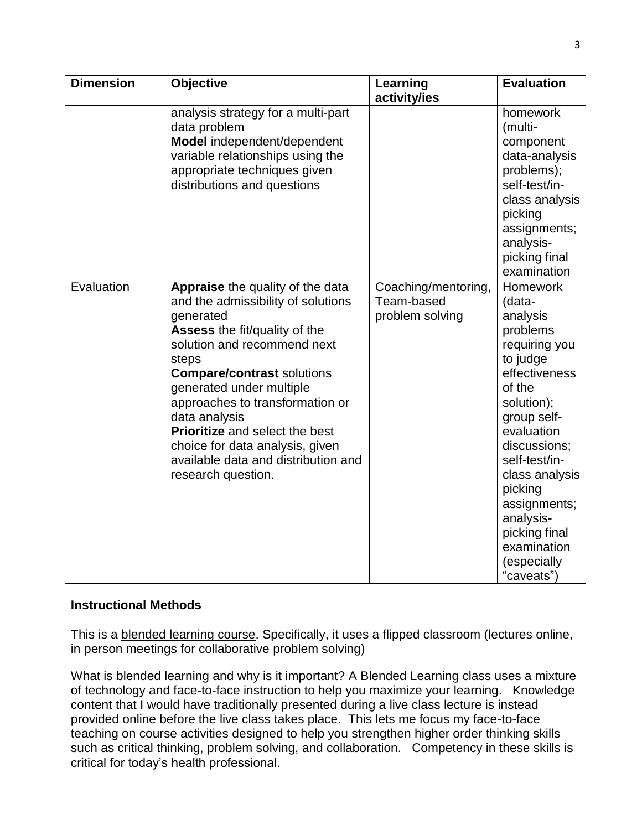| <b>Dimension</b> | <b>Objective</b>                                                                                                                                                                                                                                                                                                                                                                                                           | Learning                                             | <b>Evaluation</b>                                                                                                                                                                                                                                                                                            |
|------------------|----------------------------------------------------------------------------------------------------------------------------------------------------------------------------------------------------------------------------------------------------------------------------------------------------------------------------------------------------------------------------------------------------------------------------|------------------------------------------------------|--------------------------------------------------------------------------------------------------------------------------------------------------------------------------------------------------------------------------------------------------------------------------------------------------------------|
|                  | analysis strategy for a multi-part<br>data problem<br>Model independent/dependent<br>variable relationships using the<br>appropriate techniques given<br>distributions and questions                                                                                                                                                                                                                                       | activity/ies                                         | homework<br>(multi-<br>component<br>data-analysis<br>problems);<br>self-test/in-<br>class analysis<br>picking<br>assignments;<br>analysis-<br>picking final<br>examination                                                                                                                                   |
| Evaluation       | Appraise the quality of the data<br>and the admissibility of solutions<br>generated<br>Assess the fit/quality of the<br>solution and recommend next<br>steps<br><b>Compare/contrast solutions</b><br>generated under multiple<br>approaches to transformation or<br>data analysis<br><b>Prioritize</b> and select the best<br>choice for data analysis, given<br>available data and distribution and<br>research question. | Coaching/mentoring,<br>Team-based<br>problem solving | <b>Homework</b><br>(data-<br>analysis<br>problems<br>requiring you<br>to judge<br>effectiveness<br>of the<br>solution);<br>group self-<br>evaluation<br>discussions;<br>self-test/in-<br>class analysis<br>picking<br>assignments;<br>analysis-<br>picking final<br>examination<br>(especially<br>"caveats") |

#### **Instructional Methods**

This is a blended learning course. Specifically, it uses a flipped classroom (lectures online, in person meetings for collaborative problem solving)

What is blended learning and why is it important? A Blended Learning class uses a mixture of technology and face-to-face instruction to help you maximize your learning. Knowledge content that I would have traditionally presented during a live class lecture is instead provided online before the live class takes place. This lets me focus my face-to-face teaching on course activities designed to help you strengthen higher order thinking skills such as critical thinking, problem solving, and collaboration. Competency in these skills is critical for today's health professional.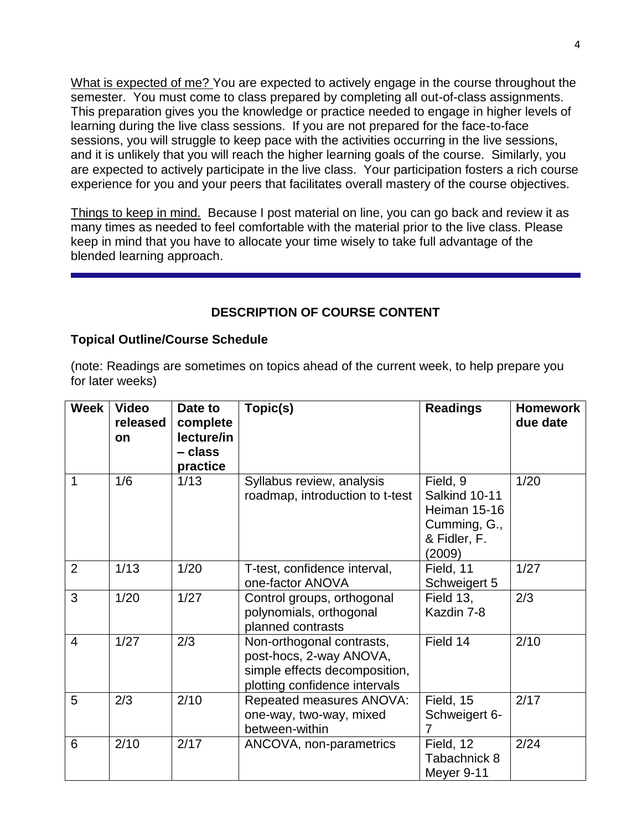What is expected of me? You are expected to actively engage in the course throughout the semester. You must come to class prepared by completing all out-of-class assignments. This preparation gives you the knowledge or practice needed to engage in higher levels of learning during the live class sessions. If you are not prepared for the face-to-face sessions, you will struggle to keep pace with the activities occurring in the live sessions, and it is unlikely that you will reach the higher learning goals of the course. Similarly, you are expected to actively participate in the live class. Your participation fosters a rich course experience for you and your peers that facilitates overall mastery of the course objectives.

Things to keep in mind. Because I post material on line, you can go back and review it as many times as needed to feel comfortable with the material prior to the live class. Please keep in mind that you have to allocate your time wisely to take full advantage of the blended learning approach.

# **DESCRIPTION OF COURSE CONTENT**

#### **Topical Outline/Course Schedule**

(note: Readings are sometimes on topics ahead of the current week, to help prepare you for later weeks)

| <b>Week</b>    | <b>Video</b><br>released<br><b>on</b> | Date to<br>complete<br>lecture/in<br>– class<br>practice | Topic(s)                                                                                                               | <b>Readings</b>                                                                     | <b>Homework</b><br>due date |
|----------------|---------------------------------------|----------------------------------------------------------|------------------------------------------------------------------------------------------------------------------------|-------------------------------------------------------------------------------------|-----------------------------|
| 1              | 1/6                                   | 1/13                                                     | Syllabus review, analysis<br>roadmap, introduction to t-test                                                           | Field, 9<br>Salkind 10-11<br>Heiman 15-16<br>Cumming, G.,<br>& Fidler, F.<br>(2009) | 1/20                        |
| 2              | 1/13                                  | 1/20                                                     | T-test, confidence interval,<br>one-factor ANOVA                                                                       | Field, 11<br>Schweigert 5                                                           | 1/27                        |
| 3              | 1/20                                  | 1/27                                                     | Control groups, orthogonal<br>polynomials, orthogonal<br>planned contrasts                                             | Field 13,<br>Kazdin 7-8                                                             | 2/3                         |
| $\overline{4}$ | 1/27                                  | 2/3                                                      | Non-orthogonal contrasts,<br>post-hocs, 2-way ANOVA,<br>simple effects decomposition,<br>plotting confidence intervals | Field 14                                                                            | 2/10                        |
| 5              | 2/3                                   | 2/10                                                     | Repeated measures ANOVA:<br>one-way, two-way, mixed<br>between-within                                                  | Field, 15<br>Schweigert 6-<br>7                                                     | 2/17                        |
| 6              | 2/10                                  | 2/17                                                     | ANCOVA, non-parametrics                                                                                                | Field, 12<br>Tabachnick 8<br>Meyer 9-11                                             | 2/24                        |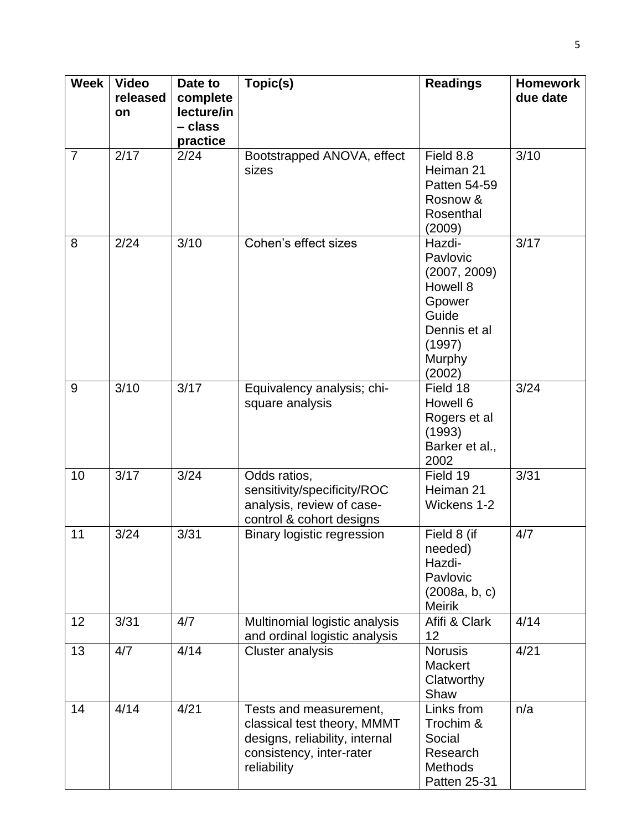| <b>Week</b>    | <b>Video</b><br>released<br>on | Date to<br>complete<br>lecture/in<br>- class<br>practice | Topic(s)                                                                                                                           | <b>Readings</b>                                                                                                 | <b>Homework</b><br>due date |  |  |
|----------------|--------------------------------|----------------------------------------------------------|------------------------------------------------------------------------------------------------------------------------------------|-----------------------------------------------------------------------------------------------------------------|-----------------------------|--|--|
| $\overline{7}$ | 2/17                           | 2/24                                                     | Field 8.8<br>Bootstrapped ANOVA, effect<br>Heiman 21<br>sizes<br>Patten 54-59<br>Rosnow &<br>Rosenthal<br>(2009)                   |                                                                                                                 |                             |  |  |
| 8              | 2/24                           | 3/10                                                     | Cohen's effect sizes                                                                                                               | Hazdi-<br>Pavlovic<br>(2007, 2009)<br>Howell 8<br>Gpower<br>Guide<br>Dennis et al<br>(1997)<br>Murphy<br>(2002) | 3/17                        |  |  |
| 9              | 3/10                           | 3/17                                                     | Equivalency analysis; chi-<br>square analysis                                                                                      | Field 18<br>Howell 6<br>Rogers et al<br>(1993)<br>Barker et al.,<br>2002                                        | 3/24                        |  |  |
| 10             | 3/17                           | 3/24                                                     | Odds ratios,<br>sensitivity/specificity/ROC<br>analysis, review of case-<br>control & cohort designs                               | Field 19<br>Heiman 21<br>Wickens 1-2                                                                            | 3/31                        |  |  |
| 11             | 3/24                           | 3/31                                                     | Binary logistic regression                                                                                                         | Field 8 (if<br>needed)<br>Hazdi-<br>Pavlovic<br>(2008a, b, c)<br><b>Meirik</b>                                  | 4/7                         |  |  |
| 12             | 3/31                           | 4/7                                                      | Multinomial logistic analysis<br>and ordinal logistic analysis                                                                     | Afifi & Clark<br>12                                                                                             | 4/14                        |  |  |
| 13             | 4/7                            | 4/14                                                     | <b>Cluster analysis</b>                                                                                                            | <b>Norusis</b><br><b>Mackert</b><br>Clatworthy<br>Shaw                                                          | 4/21                        |  |  |
| 14             | 4/14                           | 4/21                                                     | Tests and measurement,<br>classical test theory, MMMT<br>designs, reliability, internal<br>consistency, inter-rater<br>reliability | Links from<br>Trochim &<br>Social<br>Research<br><b>Methods</b><br>Patten 25-31                                 | n/a                         |  |  |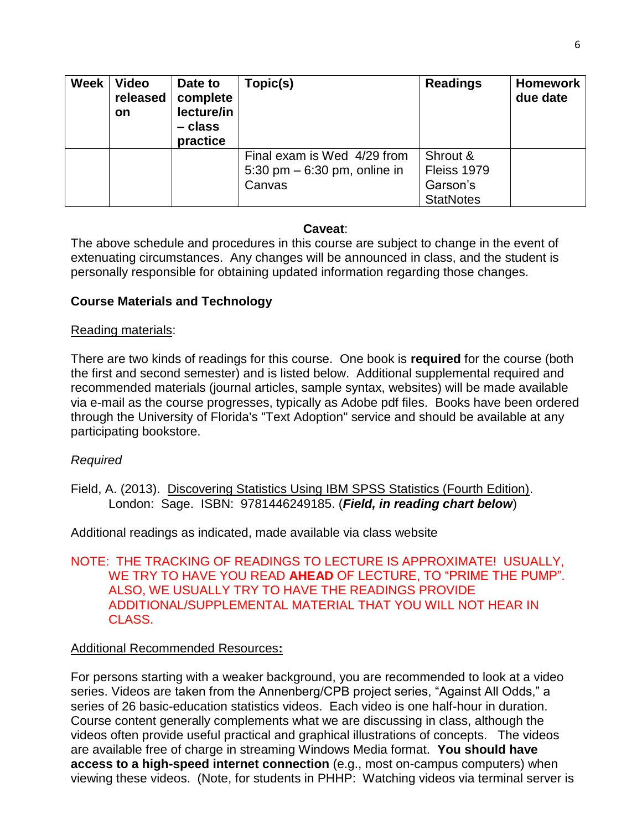| <b>Week</b> | <b>Video</b><br>released<br><b>on</b> | Date to<br>complete<br>lecture/in<br>– class<br>practice | Topic(s)                                                                | <b>Readings</b>                                         | <b>Homework</b><br>due date |
|-------------|---------------------------------------|----------------------------------------------------------|-------------------------------------------------------------------------|---------------------------------------------------------|-----------------------------|
|             |                                       |                                                          | Final exam is Wed 4/29 from<br>5:30 pm $-$ 6:30 pm, online in<br>Canvas | Shrout &<br>Fleiss 1979<br>Garson's<br><b>StatNotes</b> |                             |

#### **Caveat**:

The above schedule and procedures in this course are subject to change in the event of extenuating circumstances. Any changes will be announced in class, and the student is personally responsible for obtaining updated information regarding those changes.

## **Course Materials and Technology**

#### Reading materials:

There are two kinds of readings for this course. One book is **required** for the course (both the first and second semester) and is listed below. Additional supplemental required and recommended materials (journal articles, sample syntax, websites) will be made available via e-mail as the course progresses, typically as Adobe pdf files. Books have been ordered through the University of Florida's "Text Adoption" service and should be available at any participating bookstore.

#### *Required*

Field, A. (2013). Discovering Statistics Using IBM SPSS Statistics (Fourth Edition). London: Sage. ISBN: 9781446249185. (*Field, in reading chart below*)

Additional readings as indicated, made available via class website

#### NOTE: THE TRACKING OF READINGS TO LECTURE IS APPROXIMATE! USUALLY, WE TRY TO HAVE YOU READ **AHEAD** OF LECTURE, TO "PRIME THE PUMP". ALSO, WE USUALLY TRY TO HAVE THE READINGS PROVIDE ADDITIONAL/SUPPLEMENTAL MATERIAL THAT YOU WILL NOT HEAR IN CLASS.

#### Additional Recommended Resources**:**

For persons starting with a weaker background, you are recommended to look at a video series. Videos are taken from the Annenberg/CPB project series, "Against All Odds," a series of 26 basic-education statistics videos. Each video is one half-hour in duration. Course content generally complements what we are discussing in class, although the videos often provide useful practical and graphical illustrations of concepts. The videos are available free of charge in streaming Windows Media format. **You should have access to a high-speed internet connection** (e.g., most on-campus computers) when viewing these videos. (Note, for students in PHHP: Watching videos via terminal server is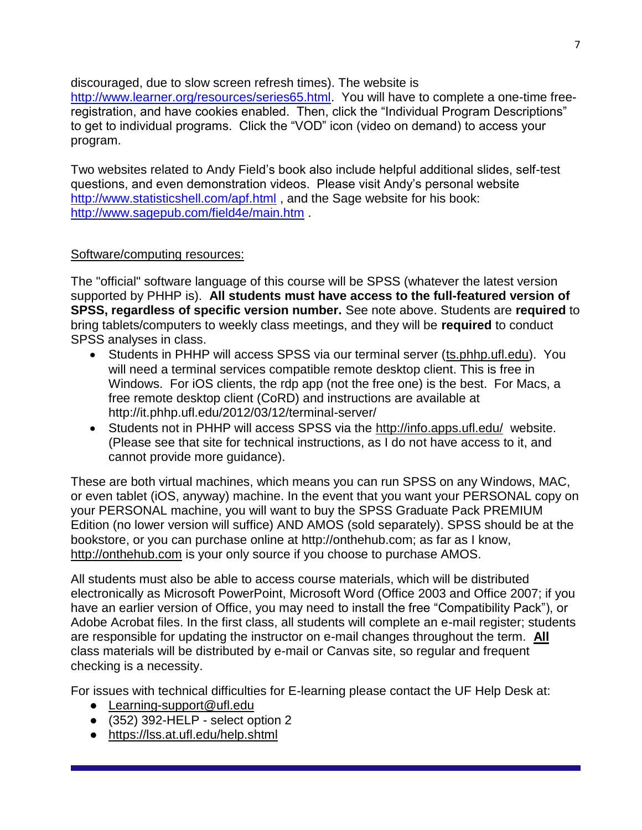discouraged, due to slow screen refresh times). The website is

[http://www.learner.org/resources/series65.html.](http://www.learner.org/resources/series65.html) You will have to complete a one-time freeregistration, and have cookies enabled. Then, click the "Individual Program Descriptions" to get to individual programs. Click the "VOD" icon (video on demand) to access your program.

Two websites related to Andy Field's book also include helpful additional slides, self-test questions, and even demonstration videos. Please visit Andy's personal website <http://www.statisticshell.com/apf.html> , and the Sage website for his book: <http://www.sagepub.com/field4e/main.htm> .

# Software/computing resources:

The "official" software language of this course will be SPSS (whatever the latest version supported by PHHP is). **All students must have access to the full-featured version of SPSS, regardless of specific version number.** See note above. Students are **required** to bring tablets/computers to weekly class meetings, and they will be **required** to conduct SPSS analyses in class.

- Students in PHHP will access SPSS via our terminal server (ts.phhp.ufl.edu). You will need a terminal services compatible remote desktop client. This is free in Windows. For iOS clients, the rdp app (not the free one) is the best. For Macs, a free remote desktop client (CoRD) and instructions are available at http://it.phhp.ufl.edu/2012/03/12/terminal-server/
- Students not in PHHP will access SPSS via the http://info.apps.ufl.edu/ website. (Please see that site for technical instructions, as I do not have access to it, and cannot provide more guidance).

These are both virtual machines, which means you can run SPSS on any Windows, MAC, or even tablet (iOS, anyway) machine. In the event that you want your PERSONAL copy on your PERSONAL machine, you will want to buy the SPSS Graduate Pack PREMIUM Edition (no lower version will suffice) AND AMOS (sold separately). SPSS should be at the bookstore, or you can purchase online at http://onthehub.com; as far as I know, http://onthehub.com is your only source if you choose to purchase AMOS.

All students must also be able to access course materials, which will be distributed electronically as Microsoft PowerPoint, Microsoft Word (Office 2003 and Office 2007; if you have an earlier version of Office, you may need to install the free "Compatibility Pack"), or Adobe Acrobat files. In the first class, all students will complete an e-mail register; students are responsible for updating the instructor on e-mail changes throughout the term. **All** class materials will be distributed by e-mail or Canvas site, so regular and frequent checking is a necessity.

For issues with technical difficulties for E-learning please contact the UF Help Desk at:

- [Learning-support@ufl.edu](file:///C:/Users/hackg/Desktop/Learning-support@ufl.edu)
- $\bullet$  (352) 392-HELP select option 2
- <https://lss.at.ufl.edu/help.shtml>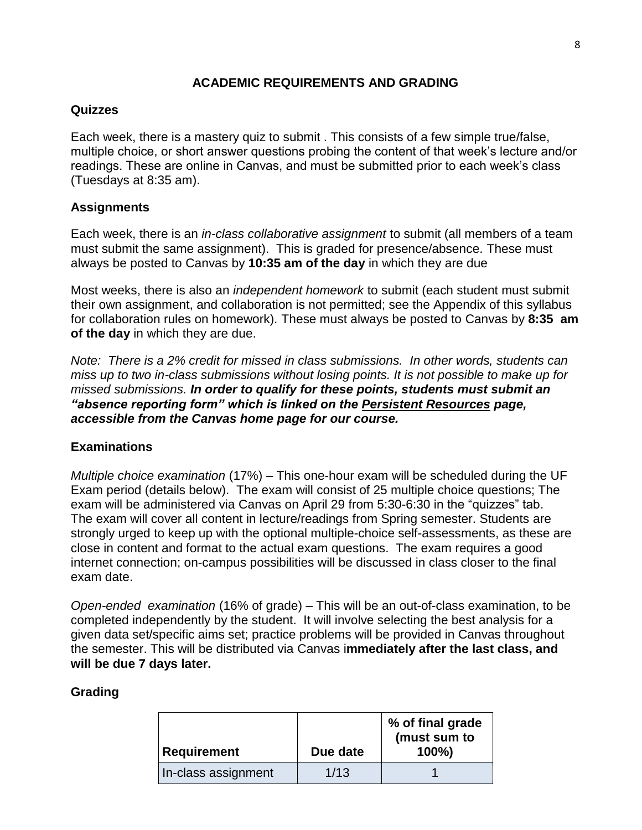#### **ACADEMIC REQUIREMENTS AND GRADING**

#### **Quizzes**

Each week, there is a mastery quiz to submit . This consists of a few simple true/false, multiple choice, or short answer questions probing the content of that week's lecture and/or readings. These are online in Canvas, and must be submitted prior to each week's class (Tuesdays at 8:35 am).

## **Assignments**

Each week, there is an *in-class collaborative assignment* to submit (all members of a team must submit the same assignment). This is graded for presence/absence. These must always be posted to Canvas by **10:35 am of the day** in which they are due

Most weeks, there is also an *independent homework* to submit (each student must submit their own assignment, and collaboration is not permitted; see the Appendix of this syllabus for collaboration rules on homework). These must always be posted to Canvas by **8:35 am of the day** in which they are due.

*Note: There is a 2% credit for missed in class submissions. In other words, students can miss up to two in-class submissions without losing points. It is not possible to make up for missed submissions. In order to qualify for these points, students must submit an "absence reporting form" which is linked on the Persistent Resources page, accessible from the Canvas home page for our course.* 

# **Examinations**

*Multiple choice examination* (17%) – This one-hour exam will be scheduled during the UF Exam period (details below). The exam will consist of 25 multiple choice questions; The exam will be administered via Canvas on April 29 from 5:30-6:30 in the "quizzes" tab. The exam will cover all content in lecture/readings from Spring semester. Students are strongly urged to keep up with the optional multiple-choice self-assessments, as these are close in content and format to the actual exam questions. The exam requires a good internet connection; on-campus possibilities will be discussed in class closer to the final exam date.

*Open-ended examination* (16% of grade) – This will be an out-of-class examination, to be completed independently by the student. It will involve selecting the best analysis for a given data set/specific aims set; practice problems will be provided in Canvas throughout the semester. This will be distributed via Canvas i**mmediately after the last class, and will be due 7 days later.**

#### **Grading**

| Requirement         | Due date | % of final grade<br>(must sum to<br>$100\%$ |
|---------------------|----------|---------------------------------------------|
| In-class assignment | 1/13     |                                             |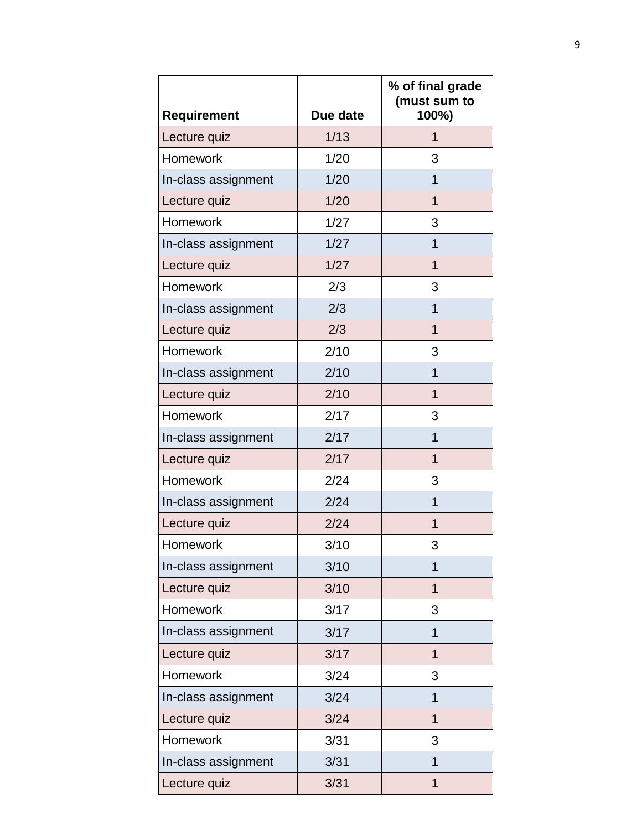| <b>Requirement</b>  | Due date | % of final grade<br>(must sum to<br>100%) |
|---------------------|----------|-------------------------------------------|
| Lecture quiz        | 1/13     | 1                                         |
| Homework            | 1/20     | 3                                         |
| In-class assignment | 1/20     | 1                                         |
| Lecture quiz        | 1/20     | 1                                         |
| <b>Homework</b>     | 1/27     | 3                                         |
| In-class assignment | 1/27     | 1                                         |
| Lecture quiz        | 1/27     | $\overline{1}$                            |
| <b>Homework</b>     | 2/3      | 3                                         |
| In-class assignment | 2/3      | 1                                         |
| Lecture quiz        | 2/3      | $\mathbf 1$                               |
| Homework            | 2/10     | 3                                         |
| In-class assignment | 2/10     | 1                                         |
| Lecture quiz        | 2/10     | 1                                         |
| Homework            | 2/17     | 3                                         |
| In-class assignment | 2/17     | 1                                         |
| Lecture quiz        | 2/17     | $\overline{1}$                            |
| Homework            | 2/24     | 3                                         |
| In-class assignment | 2/24     | 1                                         |
| Lecture quiz        | 2/24     | 1                                         |
| Homework            | 3/10     | 3                                         |
| In-class assignment | 3/10     | 1                                         |
| Lecture quiz        | 3/10     | 1                                         |
| Homework            | 3/17     | 3                                         |
| In-class assignment | 3/17     | 1                                         |
| Lecture quiz        | 3/17     | $\overline{1}$                            |
| Homework            | 3/24     | 3                                         |
| In-class assignment | 3/24     | 1                                         |
| Lecture quiz        | 3/24     | $\mathbf 1$                               |
| Homework            | 3/31     | 3                                         |
| In-class assignment | 3/31     | 1                                         |
| Lecture quiz        | 3/31     | $\overline{1}$                            |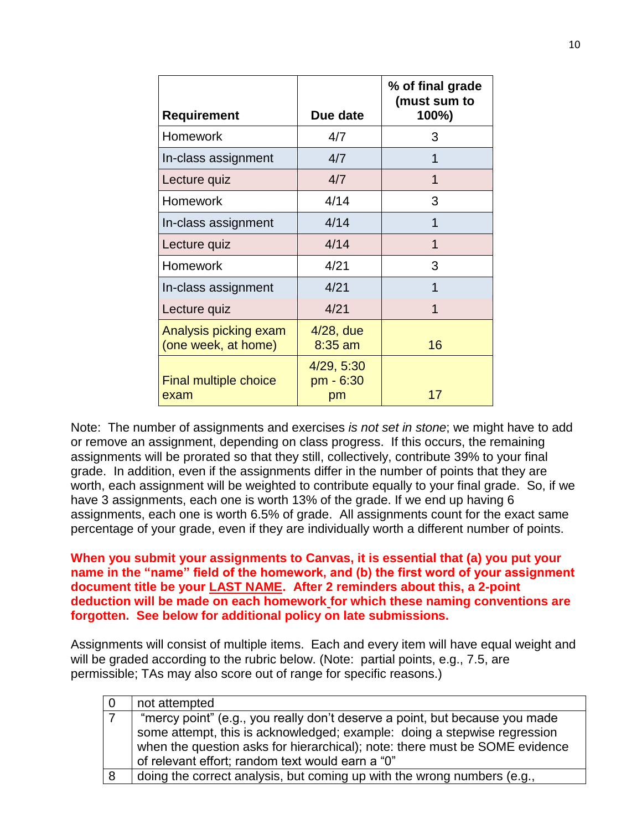|                                              |                               | % of final grade<br>(must sum to |
|----------------------------------------------|-------------------------------|----------------------------------|
| <b>Requirement</b>                           | Due date                      | 100%)                            |
| <b>Homework</b>                              | 4/7                           | 3                                |
| In-class assignment                          | 4/7                           | 1                                |
| Lecture quiz                                 | 4/7                           | 1                                |
| <b>Homework</b>                              | 4/14                          | 3                                |
| In-class assignment                          | 4/14                          | 1                                |
| Lecture quiz                                 | 4/14                          | 1                                |
| Homework                                     | 4/21                          | 3                                |
| In-class assignment                          | 4/21                          | 1                                |
| Lecture quiz                                 | 4/21                          | 1                                |
| Analysis picking exam<br>(one week, at home) | $4/28$ , due<br>$8:35$ am     | 16                               |
| <b>Final multiple choice</b><br>exam         | 4/29, 5:30<br>pm - 6:30<br>pm | 17                               |

Note: The number of assignments and exercises *is not set in stone*; we might have to add or remove an assignment, depending on class progress. If this occurs, the remaining assignments will be prorated so that they still, collectively, contribute 39% to your final grade. In addition, even if the assignments differ in the number of points that they are worth, each assignment will be weighted to contribute equally to your final grade. So, if we have 3 assignments, each one is worth 13% of the grade. If we end up having 6 assignments, each one is worth 6.5% of grade. All assignments count for the exact same percentage of your grade, even if they are individually worth a different number of points.

**When you submit your assignments to Canvas, it is essential that (a) you put your name in the "name" field of the homework, and (b) the first word of your assignment document title be your LAST NAME. After 2 reminders about this, a 2-point deduction will be made on each homework for which these naming conventions are forgotten. See below for additional policy on late submissions.**

Assignments will consist of multiple items. Each and every item will have equal weight and will be graded according to the rubric below. (Note: partial points, e.g., 7.5, are permissible; TAs may also score out of range for specific reasons.)

|   | not attempted                                                               |
|---|-----------------------------------------------------------------------------|
|   | "mercy point" (e.g., you really don't deserve a point, but because you made |
|   | some attempt, this is acknowledged; example: doing a stepwise regression    |
|   | when the question asks for hierarchical); note: there must be SOME evidence |
|   | of relevant effort; random text would earn a "0"                            |
| 8 | doing the correct analysis, but coming up with the wrong numbers (e.g.,     |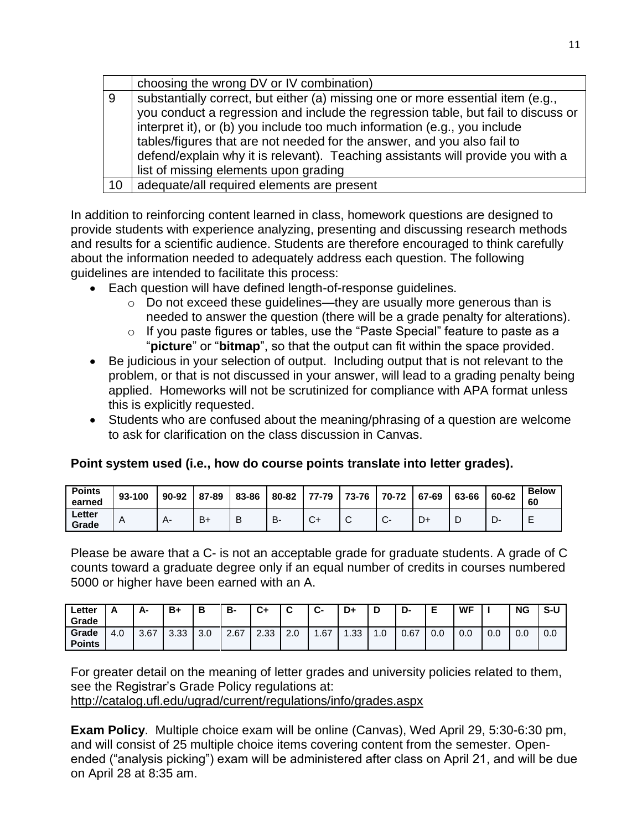|    | choosing the wrong DV or IV combination)                                          |
|----|-----------------------------------------------------------------------------------|
| 9  | substantially correct, but either (a) missing one or more essential item (e.g.,   |
|    | you conduct a regression and include the regression table, but fail to discuss or |
|    | interpret it), or (b) you include too much information (e.g., you include         |
|    | tables/figures that are not needed for the answer, and you also fail to           |
|    | defend/explain why it is relevant). Teaching assistants will provide you with a   |
|    | list of missing elements upon grading                                             |
| 10 | adequate/all required elements are present                                        |

In addition to reinforcing content learned in class, homework questions are designed to provide students with experience analyzing, presenting and discussing research methods and results for a scientific audience. Students are therefore encouraged to think carefully about the information needed to adequately address each question. The following guidelines are intended to facilitate this process:

- Each question will have defined length-of-response guidelines.
	- o Do not exceed these guidelines—they are usually more generous than is needed to answer the question (there will be a grade penalty for alterations).
	- o If you paste figures or tables, use the "Paste Special" feature to paste as a "**picture**" or "**bitmap**", so that the output can fit within the space provided.
- Be judicious in your selection of output. Including output that is not relevant to the problem, or that is not discussed in your answer, will lead to a grading penalty being applied. Homeworks will not be scrutinized for compliance with APA format unless this is explicitly requested.
- Students who are confused about the meaning/phrasing of a question are welcome to ask for clarification on the class discussion in Canvas.

| Point system used (i.e., how do course points translate into letter grades). |  |  |  |
|------------------------------------------------------------------------------|--|--|--|
|------------------------------------------------------------------------------|--|--|--|

| <b>Points</b><br>earned | 93-100 | 90-92 | 87-89 | 83-86 | 80-82 | $77 - 79$    | 73-76 L | 70-72        | 67-69 | 63-66 | 60-62 | <b>Below</b><br>60 |
|-------------------------|--------|-------|-------|-------|-------|--------------|---------|--------------|-------|-------|-------|--------------------|
| Letter<br>Grade         | A      | д.    | $B+$  | D     | D.    | $\mathbf{v}$ | ັ       | $\mathbf{v}$ | D+    |       | பு.   | -                  |

Please be aware that a C- is not an acceptable grade for graduate students. A grade of C counts toward a graduate degree only if an equal number of credits in courses numbered 5000 or higher have been earned with an A.

| ∟etter<br>Grade        |     | А-   | B+   | В   | в-   | C+   | $\ddot{\phantom{1}}$<br>ື | ~<br>י טי | D+   | D   | D-   |     | WF  |     | <b>NG</b> | S-U |
|------------------------|-----|------|------|-----|------|------|---------------------------|-----------|------|-----|------|-----|-----|-----|-----------|-----|
| Grade<br><b>Points</b> | 4.0 | 3.67 | 3.33 | 3.0 | 2.67 | 2.33 | 2.0                       | .67       | 1.33 | 1.U | 0.67 | 0.0 | 0.0 | 0.0 | 0.0       | 0.0 |

For greater detail on the meaning of letter grades and university policies related to them, see the Registrar's Grade Policy regulations at: <http://catalog.ufl.edu/ugrad/current/regulations/info/grades.aspx>

**Exam Policy**. Multiple choice exam will be online (Canvas), Wed April 29, 5:30-6:30 pm, and will consist of 25 multiple choice items covering content from the semester. Openended ("analysis picking") exam will be administered after class on April 21, and will be due on April 28 at 8:35 am.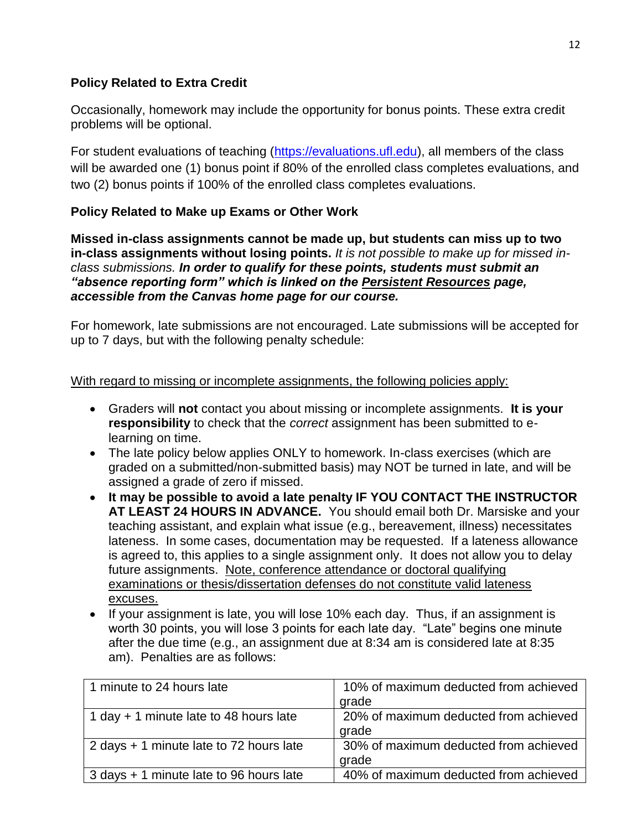# **Policy Related to Extra Credit**

Occasionally, homework may include the opportunity for bonus points. These extra credit problems will be optional.

For student evaluations of teaching [\(https://evaluations.ufl.edu\)](https://evaluations.ufl.edu/), all members of the class will be awarded one (1) bonus point if 80% of the enrolled class completes evaluations, and two (2) bonus points if 100% of the enrolled class completes evaluations.

## **Policy Related to Make up Exams or Other Work**

**Missed in-class assignments cannot be made up, but students can miss up to two in-class assignments without losing points.** *It is not possible to make up for missed inclass submissions. In order to qualify for these points, students must submit an "absence reporting form" which is linked on the Persistent Resources page, accessible from the Canvas home page for our course.* 

For homework, late submissions are not encouraged. Late submissions will be accepted for up to 7 days, but with the following penalty schedule:

With regard to missing or incomplete assignments, the following policies apply:

- Graders will **not** contact you about missing or incomplete assignments. **It is your responsibility** to check that the *correct* assignment has been submitted to elearning on time.
- The late policy below applies ONLY to homework. In-class exercises (which are graded on a submitted/non-submitted basis) may NOT be turned in late, and will be assigned a grade of zero if missed.
- **It may be possible to avoid a late penalty IF YOU CONTACT THE INSTRUCTOR AT LEAST 24 HOURS IN ADVANCE.** You should email both Dr. Marsiske and your teaching assistant, and explain what issue (e.g., bereavement, illness) necessitates lateness. In some cases, documentation may be requested. If a lateness allowance is agreed to, this applies to a single assignment only. It does not allow you to delay future assignments. Note, conference attendance or doctoral qualifying examinations or thesis/dissertation defenses do not constitute valid lateness excuses.
- If your assignment is late, you will lose 10% each day. Thus, if an assignment is worth 30 points, you will lose 3 points for each late day. "Late" begins one minute after the due time (e.g., an assignment due at 8:34 am is considered late at 8:35 am). Penalties are as follows:

| 1 minute to 24 hours late                | 10% of maximum deducted from achieved |
|------------------------------------------|---------------------------------------|
|                                          | grade                                 |
| 1 day $+$ 1 minute late to 48 hours late | 20% of maximum deducted from achieved |
|                                          | grade                                 |
| 2 days + 1 minute late to 72 hours late  | 30% of maximum deducted from achieved |
|                                          | grade                                 |
| 3 days + 1 minute late to 96 hours late  | 40% of maximum deducted from achieved |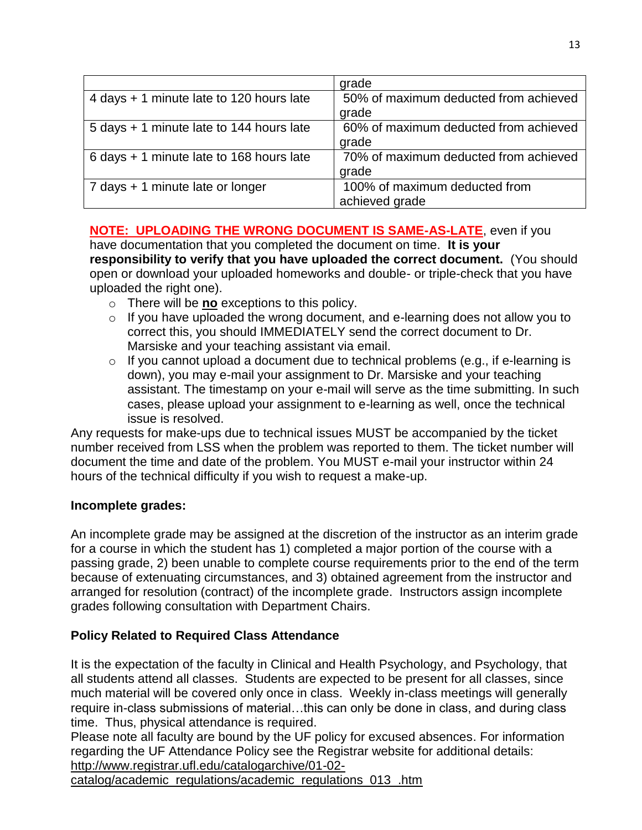|                                          | grade                                 |
|------------------------------------------|---------------------------------------|
| 4 days + 1 minute late to 120 hours late | 50% of maximum deducted from achieved |
|                                          | grade                                 |
| 5 days + 1 minute late to 144 hours late | 60% of maximum deducted from achieved |
|                                          | grade                                 |
| 6 days + 1 minute late to 168 hours late | 70% of maximum deducted from achieved |
|                                          | grade                                 |
| 7 days + 1 minute late or longer         | 100% of maximum deducted from         |
|                                          | achieved grade                        |

## **NOTE: UPLOADING THE WRONG DOCUMENT IS SAME-AS-LATE**, even if you

have documentation that you completed the document on time. **It is your responsibility to verify that you have uploaded the correct document.** (You should open or download your uploaded homeworks and double- or triple-check that you have uploaded the right one).

- o There will be **no** exceptions to this policy.
- $\circ$  If you have uploaded the wrong document, and e-learning does not allow you to correct this, you should IMMEDIATELY send the correct document to Dr. Marsiske and your teaching assistant via email.
- $\circ$  If you cannot upload a document due to technical problems (e.g., if e-learning is down), you may e-mail your assignment to Dr. Marsiske and your teaching assistant. The timestamp on your e-mail will serve as the time submitting. In such cases, please upload your assignment to e-learning as well, once the technical issue is resolved.

Any requests for make-ups due to technical issues MUST be accompanied by the ticket number received from LSS when the problem was reported to them. The ticket number will document the time and date of the problem. You MUST e-mail your instructor within 24 hours of the technical difficulty if you wish to request a make-up.

#### **Incomplete grades:**

An incomplete grade may be assigned at the discretion of the instructor as an interim grade for a course in which the student has 1) completed a major portion of the course with a passing grade, 2) been unable to complete course requirements prior to the end of the term because of extenuating circumstances, and 3) obtained agreement from the instructor and arranged for resolution (contract) of the incomplete grade. Instructors assign incomplete grades following consultation with Department Chairs.

# **Policy Related to Required Class Attendance**

It is the expectation of the faculty in Clinical and Health Psychology, and Psychology, that all students attend all classes. Students are expected to be present for all classes, since much material will be covered only once in class. Weekly in-class meetings will generally require in-class submissions of material…this can only be done in class, and during class time. Thus, physical attendance is required.

Please note all faculty are bound by the UF policy for excused absences. For information regarding the UF Attendance Policy see the Registrar website for additional details:

[http://www.registrar.ufl.edu/catalogarchive/01-02-](http://www.registrar.ufl.edu/catalogarchive/01-02-catalog/academic_regulations/academic_regulations_013_.htm)

[catalog/academic\\_regulations/academic\\_regulations\\_013\\_.htm](http://www.registrar.ufl.edu/catalogarchive/01-02-catalog/academic_regulations/academic_regulations_013_.htm)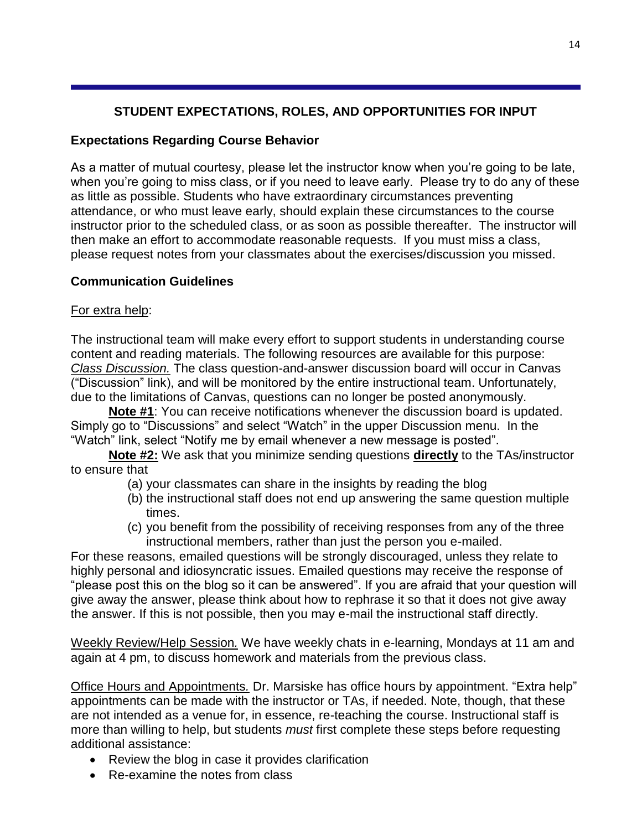# **STUDENT EXPECTATIONS, ROLES, AND OPPORTUNITIES FOR INPUT**

## **Expectations Regarding Course Behavior**

As a matter of mutual courtesy, please let the instructor know when you're going to be late, when you're going to miss class, or if you need to leave early. Please try to do any of these as little as possible. Students who have extraordinary circumstances preventing attendance, or who must leave early, should explain these circumstances to the course instructor prior to the scheduled class, or as soon as possible thereafter. The instructor will then make an effort to accommodate reasonable requests. If you must miss a class, please request notes from your classmates about the exercises/discussion you missed.

## **Communication Guidelines**

## For extra help:

The instructional team will make every effort to support students in understanding course content and reading materials. The following resources are available for this purpose: *Class Discussion.* The class question-and-answer discussion board will occur in Canvas ("Discussion" link), and will be monitored by the entire instructional team. Unfortunately, due to the limitations of Canvas, questions can no longer be posted anonymously.

**Note #1**: You can receive notifications whenever the discussion board is updated. Simply go to "Discussions" and select "Watch" in the upper Discussion menu. In the "Watch" link, select "Notify me by email whenever a new message is posted".

**Note #2:** We ask that you minimize sending questions **directly** to the TAs/instructor to ensure that

- (a) your classmates can share in the insights by reading the blog
- (b) the instructional staff does not end up answering the same question multiple times.
- (c) you benefit from the possibility of receiving responses from any of the three instructional members, rather than just the person you e-mailed.

For these reasons, emailed questions will be strongly discouraged, unless they relate to highly personal and idiosyncratic issues. Emailed questions may receive the response of "please post this on the blog so it can be answered". If you are afraid that your question will give away the answer, please think about how to rephrase it so that it does not give away the answer. If this is not possible, then you may e-mail the instructional staff directly.

Weekly Review/Help Session*.* We have weekly chats in e-learning, Mondays at 11 am and again at 4 pm, to discuss homework and materials from the previous class.

Office Hours and Appointments*.* Dr. Marsiske has office hours by appointment. "Extra help" appointments can be made with the instructor or TAs, if needed. Note, though, that these are not intended as a venue for, in essence, re-teaching the course. Instructional staff is more than willing to help, but students *must* first complete these steps before requesting additional assistance:

- Review the blog in case it provides clarification
- Re-examine the notes from class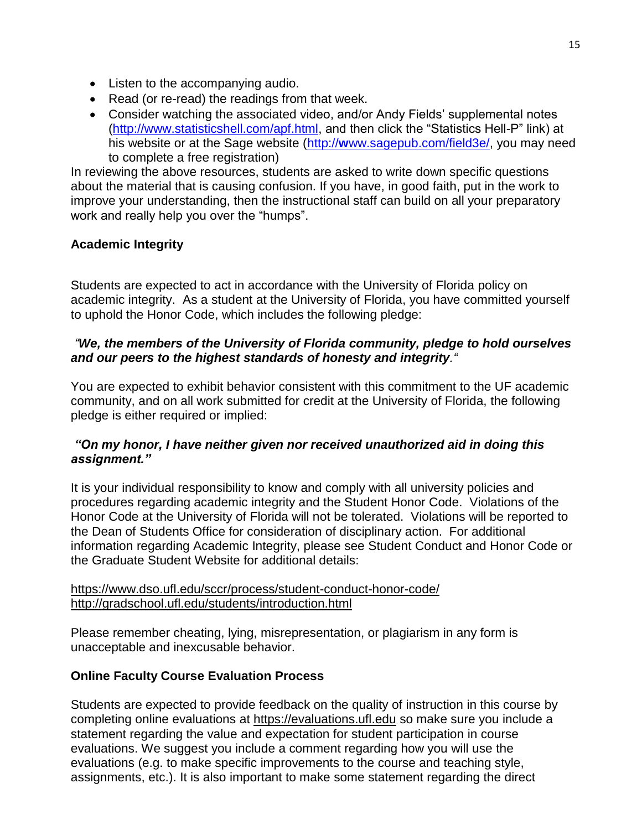- Listen to the accompanying audio.
- Read (or re-read) the readings from that week.
- Consider watching the associated video, and/or Andy Fields' supplemental notes [\(http://www.statisticshell.com/apf.html,](http://www.statisticshell.com/apf.html) and then click the "Statistics Hell-P" link) at his website or at the Sage website (http://**w**[ww.sagepub.com/field3e/,](http://www.sagepub.com/field3e/) you may need to complete a free registration)

In reviewing the above resources, students are asked to write down specific questions about the material that is causing confusion. If you have, in good faith, put in the work to improve your understanding, then the instructional staff can build on all your preparatory work and really help you over the "humps".

# **Academic Integrity**

Students are expected to act in accordance with the University of Florida policy on academic integrity. As a student at the University of Florida, you have committed yourself to uphold the Honor Code, which includes the following pledge:

## *"We, the members of the University of Florida community, pledge to hold ourselves and our peers to the highest standards of honesty and integrity."*

You are expected to exhibit behavior consistent with this commitment to the UF academic community, and on all work submitted for credit at the University of Florida, the following pledge is either required or implied:

## *"On my honor, I have neither given nor received unauthorized aid in doing this assignment."*

It is your individual responsibility to know and comply with all university policies and procedures regarding academic integrity and the Student Honor Code. Violations of the Honor Code at the University of Florida will not be tolerated. Violations will be reported to the Dean of Students Office for consideration of disciplinary action. For additional information regarding Academic Integrity, please see Student Conduct and Honor Code or the Graduate Student Website for additional details:

#### <https://www.dso.ufl.edu/sccr/process/student-conduct-honor-code/> <http://gradschool.ufl.edu/students/introduction.html>

Please remember cheating, lying, misrepresentation, or plagiarism in any form is unacceptable and inexcusable behavior.

# **Online Faculty Course Evaluation Process**

Students are expected to provide feedback on the quality of instruction in this course by completing online evaluations at [https://evaluations.ufl.edu](https://evaluations.ufl.edu/) so make sure you include a statement regarding the value and expectation for student participation in course evaluations. We suggest you include a comment regarding how you will use the evaluations (e.g. to make specific improvements to the course and teaching style, assignments, etc.). It is also important to make some statement regarding the direct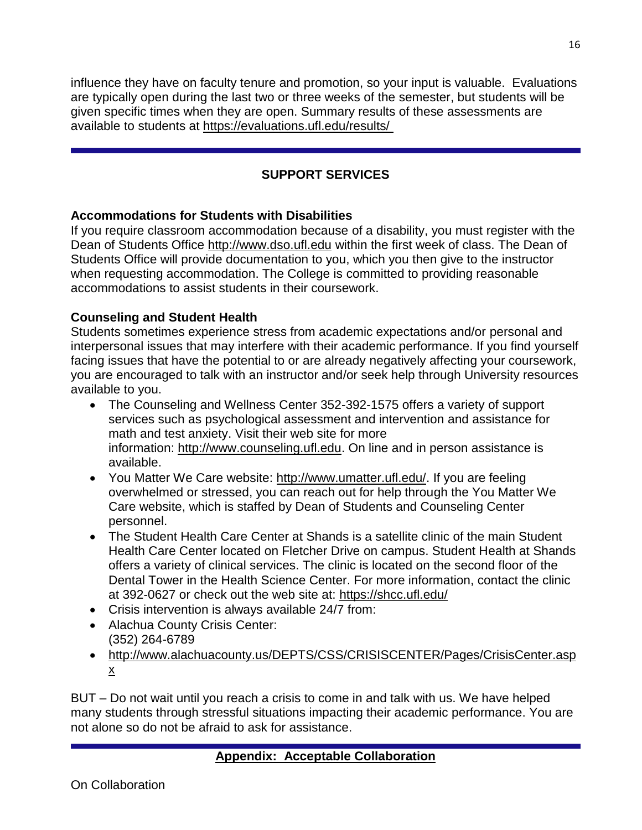influence they have on faculty tenure and promotion, so your input is valuable. Evaluations are typically open during the last two or three weeks of the semester, but students will be given specific times when they are open. Summary results of these assessments are available to students at [https://evaluations.ufl.edu/results/](https://evaluations.ufl.edu/results/ )

# **SUPPORT SERVICES**

# **Accommodations for Students with Disabilities**

If you require classroom accommodation because of a disability, you must register with the Dean of Students Office [http://www.dso.ufl.edu](http://www.dso.ufl.edu/) within the first week of class. The Dean of Students Office will provide documentation to you, which you then give to the instructor when requesting accommodation. The College is committed to providing reasonable accommodations to assist students in their coursework.

## **Counseling and Student Health**

Students sometimes experience stress from academic expectations and/or personal and interpersonal issues that may interfere with their academic performance. If you find yourself facing issues that have the potential to or are already negatively affecting your coursework, you are encouraged to talk with an instructor and/or seek help through University resources available to you.

- The Counseling and Wellness Center 352-392-1575 offers a variety of support services such as psychological assessment and intervention and assistance for math and test anxiety. Visit their web site for more information: [http://www.counseling.ufl.edu.](http://www.counseling.ufl.edu/) On line and in person assistance is available.
- You Matter We Care website: [http://www.umatter.ufl.edu/.](http://www.umatter.ufl.edu/) If you are feeling overwhelmed or stressed, you can reach out for help through the You Matter We Care website, which is staffed by Dean of Students and Counseling Center personnel.
- The Student Health Care Center at Shands is a satellite clinic of the main Student Health Care Center located on Fletcher Drive on campus. Student Health at Shands offers a variety of clinical services. The clinic is located on the second floor of the Dental Tower in the Health Science Center. For more information, contact the clinic at 392-0627 or check out the web site at: <https://shcc.ufl.edu/>
- Crisis intervention is always available 24/7 from:
- Alachua County Crisis Center: (352) 264-6789
- [http://www.alachuacounty.us/DEPTS/CSS/CRISISCENTER/Pages/CrisisCenter.asp](http://www.alachuacounty.us/DEPTS/CSS/CRISISCENTER/Pages/CrisisCenter.aspx) [x](http://www.alachuacounty.us/DEPTS/CSS/CRISISCENTER/Pages/CrisisCenter.aspx)

BUT – Do not wait until you reach a crisis to come in and talk with us. We have helped many students through stressful situations impacting their academic performance. You are not alone so do not be afraid to ask for assistance.

# **Appendix: Acceptable Collaboration**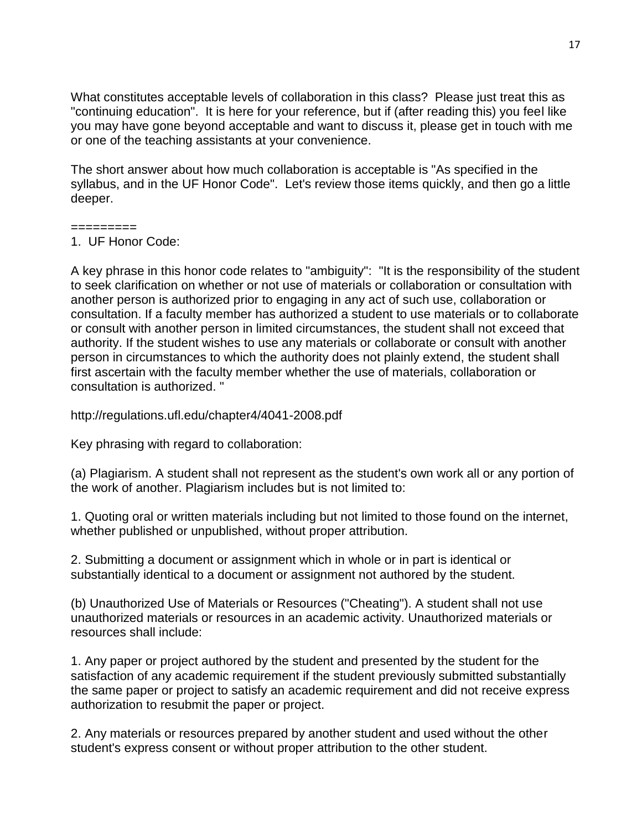What constitutes acceptable levels of collaboration in this class? Please just treat this as "continuing education". It is here for your reference, but if (after reading this) you feel like you may have gone beyond acceptable and want to discuss it, please get in touch with me or one of the teaching assistants at your convenience.

The short answer about how much collaboration is acceptable is "As specified in the syllabus, and in the UF Honor Code". Let's review those items quickly, and then go a little deeper.

#### =========

A key phrase in this honor code relates to "ambiguity": "It is the responsibility of the student to seek clarification on whether or not use of materials or collaboration or consultation with another person is authorized prior to engaging in any act of such use, collaboration or consultation. If a faculty member has authorized a student to use materials or to collaborate or consult with another person in limited circumstances, the student shall not exceed that authority. If the student wishes to use any materials or collaborate or consult with another person in circumstances to which the authority does not plainly extend, the student shall first ascertain with the faculty member whether the use of materials, collaboration or consultation is authorized. "

http://regulations.ufl.edu/chapter4/4041-2008.pdf

Key phrasing with regard to collaboration:

(a) Plagiarism. A student shall not represent as the student's own work all or any portion of the work of another. Plagiarism includes but is not limited to:

1. Quoting oral or written materials including but not limited to those found on the internet, whether published or unpublished, without proper attribution.

2. Submitting a document or assignment which in whole or in part is identical or substantially identical to a document or assignment not authored by the student.

(b) Unauthorized Use of Materials or Resources ("Cheating"). A student shall not use unauthorized materials or resources in an academic activity. Unauthorized materials or resources shall include:

1. Any paper or project authored by the student and presented by the student for the satisfaction of any academic requirement if the student previously submitted substantially the same paper or project to satisfy an academic requirement and did not receive express authorization to resubmit the paper or project.

2. Any materials or resources prepared by another student and used without the other student's express consent or without proper attribution to the other student.

<sup>1.</sup> UF Honor Code: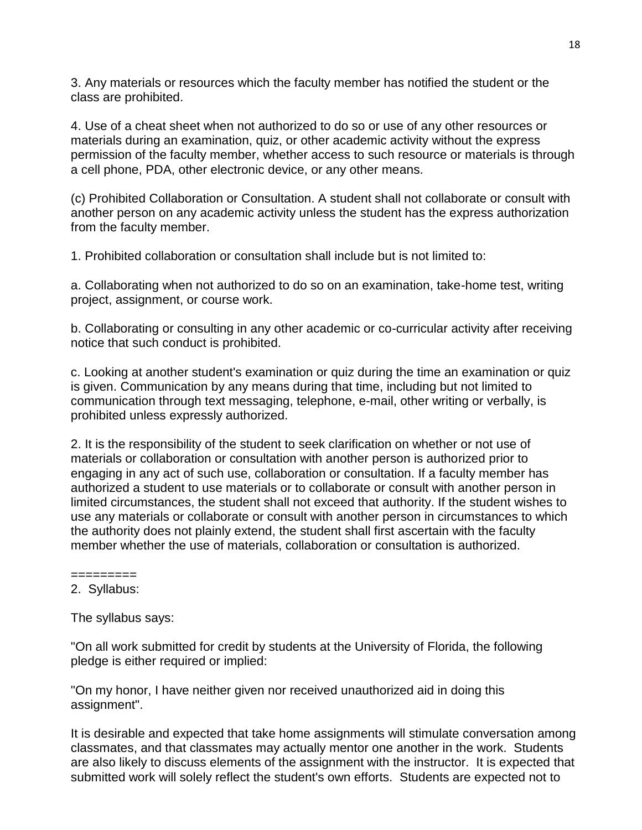3. Any materials or resources which the faculty member has notified the student or the class are prohibited.

4. Use of a cheat sheet when not authorized to do so or use of any other resources or materials during an examination, quiz, or other academic activity without the express permission of the faculty member, whether access to such resource or materials is through a cell phone, PDA, other electronic device, or any other means.

(c) Prohibited Collaboration or Consultation. A student shall not collaborate or consult with another person on any academic activity unless the student has the express authorization from the faculty member.

1. Prohibited collaboration or consultation shall include but is not limited to:

a. Collaborating when not authorized to do so on an examination, take-home test, writing project, assignment, or course work.

b. Collaborating or consulting in any other academic or co-curricular activity after receiving notice that such conduct is prohibited.

c. Looking at another student's examination or quiz during the time an examination or quiz is given. Communication by any means during that time, including but not limited to communication through text messaging, telephone, e-mail, other writing or verbally, is prohibited unless expressly authorized.

2. It is the responsibility of the student to seek clarification on whether or not use of materials or collaboration or consultation with another person is authorized prior to engaging in any act of such use, collaboration or consultation. If a faculty member has authorized a student to use materials or to collaborate or consult with another person in limited circumstances, the student shall not exceed that authority. If the student wishes to use any materials or collaborate or consult with another person in circumstances to which the authority does not plainly extend, the student shall first ascertain with the faculty member whether the use of materials, collaboration or consultation is authorized.

========= 2. Syllabus:

The syllabus says:

"On all work submitted for credit by students at the University of Florida, the following pledge is either required or implied:

"On my honor, I have neither given nor received unauthorized aid in doing this assignment".

It is desirable and expected that take home assignments will stimulate conversation among classmates, and that classmates may actually mentor one another in the work. Students are also likely to discuss elements of the assignment with the instructor. It is expected that submitted work will solely reflect the student's own efforts. Students are expected not to